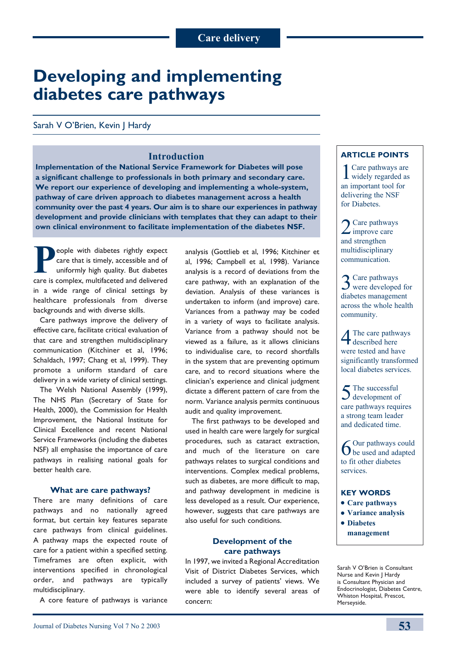# **Developing and implementing diabetes care pathways**

# Sarah V O'Brien, Kevin J Hardy

# **Introduction**

**Implementation of the National Service Framework for Diabetes will pose a significant challenge to professionals in both primary and secondary care. We report our experience of developing and implementing a whole-system, pathway of care driven approach to diabetes management across a health community over the past 4 years. Our aim is to share our experiences in pathway development and provide clinicians with templates that they can adapt to their own clinical environment to facilitate implementation of the diabetes NSF.**

**People with diabetes rightly expect<br>care that is timely, accessible and of<br>uniformly high quality. But diabetes<br>care is complex multifaceted and delivered** care that is timely, accessible and of uniformly high quality. But diabetes care is complex, multifaceted and delivered in a wide range of clinical settings by healthcare professionals from diverse backgrounds and with diverse skills.

Care pathways improve the delivery of effective care, facilitate critical evaluation of that care and strengthen multidisciplinary communication (Kitchiner et al, 1996; Schaldach, 1997; Chang et al, 1999). They promote a uniform standard of care delivery in a wide variety of clinical settings.

The Welsh National Assembly (1999), The NHS Plan (Secretary of State for Health, 2000), the Commission for Health Improvement, the National Institute for Clinical Excellence and recent National Service Frameworks (including the diabetes NSF) all emphasise the importance of care pathways in realising national goals for better health care.

#### **What are care pathways?**

There are many definitions of care pathways and no nationally agreed format, but certain key features separate care pathways from clinical guidelines. A pathway maps the expected route of care for a patient within a specified setting. Timeframes are often explicit, with interventions specified in chronological order, and pathways are typically multidisciplinary.

A core feature of pathways is variance

analysis (Gottlieb et al, 1996; Kitchiner et al, 1996; Campbell et al, 1998). Variance analysis is a record of deviations from the care pathway, with an explanation of the deviation. Analysis of these variances is undertaken to inform (and improve) care. Variances from a pathway may be coded in a variety of ways to facilitate analysis. Variance from a pathway should not be viewed as a failure, as it allows clinicians to individualise care, to record shortfalls in the system that are preventing optimum care, and to record situations where the clinician's experience and clinical judgment dictate a different pattern of care from the norm. Variance analysis permits continuous audit and quality improvement.

The first pathways to be developed and used in health care were largely for surgical procedures, such as cataract extraction, and much of the literature on care pathways relates to surgical conditions and interventions. Complex medical problems, such as diabetes, are more difficult to map, and pathway development in medicine is less developed as a result. Our experience, however, suggests that care pathways are also useful for such conditions.

## **Development of the care pathways**

In 1997, we invited a Regional Accreditation Visit of District Diabetes Services, which included a survey of patients' views. We were able to identify several areas of concern:

# **Article points**

1Care pathways are widely regarded as an important tool for delivering the NSF for Diabetes.

2 Care pathways and strengthen multidisciplinary communication.

3Care pathways were developed for diabetes management across the whole health community.

4The care pathways described here were tested and have significantly transformed local diabetes services.

5The successful development of care pathways requires a strong team leader and dedicated time.

6Our pathways could be used and adapted to fit other diabetes services.

# **Key words**

- $\bullet$  Care pathways
- <sup>l</sup>**Variance analysis**
- $\bullet$  Diabetes **management**

Sarah V O'Brien is Consultant Nurse and Kevin J Hardy is Consultant Physician and Endocrinologist, Diabetes Centre, Whiston Hospital, Prescot, Merseyside.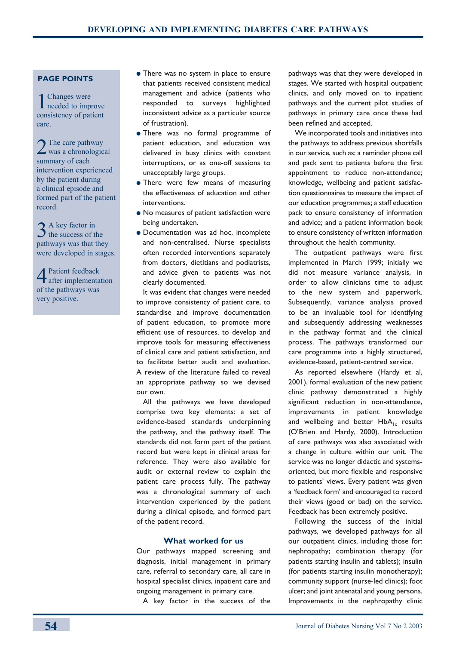#### **Page points**

1Changes were needed to improve consistency of patient care.

 $2^{n}$  The care pathway was a chronological summary of each intervention experienced by the patient during a clinical episode and formed part of the patient record.

3 A key factor in<br>3 the success of the pathways was that they were developed in stages.

4 Patient feedback after implementation of the pathways was very positive.

- There was no system in place to ensure that patients received consistent medical management and advice (patients who responded to surveys highlighted inconsistent advice as a particular source of frustration).
- There was no formal programme of patient education, and education was delivered in busy clinics with constant interruptions, or as one-off sessions to unacceptably large groups.
- $\bullet$  There were few means of measuring the effectiveness of education and other interventions.
- No measures of patient satisfaction were being undertaken.
- **· Documentation was ad hoc, incomplete** and non-centralised. Nurse specialists often recorded interventions separately from doctors, dietitians and podiatrists, and advice given to patients was not clearly documented.

It was evident that changes were needed to improve consistency of patient care, to standardise and improve documentation of patient education, to promote more efficient use of resources, to develop and improve tools for measuring effectiveness of clinical care and patient satisfaction, and to facilitate better audit and evaluation. A review of the literature failed to reveal an appropriate pathway so we devised our own.

All the pathways we have developed comprise two key elements: a set of evidence-based standards underpinning the pathway, and the pathway itself. The standards did not form part of the patient record but were kept in clinical areas for reference. They were also available for audit or external review to explain the patient care process fully. The pathway was a chronological summary of each intervention experienced by the patient during a clinical episode, and formed part of the patient record.

# **What worked for us**

Our pathways mapped screening and diagnosis, initial management in primary care, referral to secondary care, all care in hospital specialist clinics, inpatient care and ongoing management in primary care.

A key factor in the success of the

pathways was that they were developed in stages. We started with hospital outpatient clinics, and only moved on to inpatient pathways and the current pilot studies of pathways in primary care once these had been refined and accepted.

We incorporated tools and initiatives into the pathways to address previous shortfalls in our service, such as: a reminder phone call and pack sent to patients before the first appointment to reduce non-attendance; knowledge, wellbeing and patient satisfaction questionnaires to measure the impact of our education programmes; a staff education pack to ensure consistency of information and advice; and a patient information book to ensure consistency of written information throughout the health community.

The outpatient pathways were first implemented in March 1999; initially we did not measure variance analysis, in order to allow clinicians time to adjust to the new system and paperwork. Subsequently, variance analysis proved to be an invaluable tool for identifying and subsequently addressing weaknesses in the pathway format and the clinical process. The pathways transformed our care programme into a highly structured, evidence-based, patient-centred service.

As reported elsewhere (Hardy et al, 2001), formal evaluation of the new patient clinic pathway demonstrated a highly significant reduction in non-attendance, improvements in patient knowledge and wellbeing and better  $HbA_{1c}$  results (O'Brien and Hardy, 2000). Introduction of care pathways was also associated with a change in culture within our unit. The service was no longer didactic and systemsoriented, but more flexible and responsive to patients' views. Every patient was given a 'feedback form' and encouraged to record their views (good or bad) on the service. Feedback has been extremely positive.

Following the success of the initial pathways, we developed pathways for all our outpatient clinics, including those for: nephropathy; combination therapy (for patients starting insulin and tablets); insulin (for patients starting insulin monotherapy); community support (nurse-led clinics); foot ulcer; and joint antenatal and young persons. Improvements in the nephropathy clinic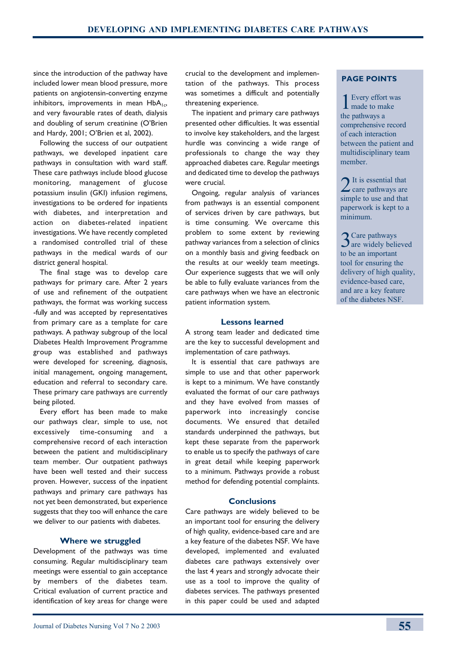since the introduction of the pathway have included lower mean blood pressure, more patients on angiotensin-converting enzyme inhibitors, improvements in mean  $HbA_{1c}$ , and very favourable rates of death, dialysis and doubling of serum creatinine (O'Brien and Hardy, 2001; O'Brien et al, 2002).

Following the success of our outpatient pathways, we developed inpatient care pathways in consultation with ward staff. These care pathways include blood glucose monitoring, management of glucose potassium insulin (GKI) infusion regimens, investigations to be ordered for inpatients with diabetes, and interpretation and action on diabetes-related inpatient investigations. We have recently completed a randomised controlled trial of these pathways in the medical wards of our district general hospital.

The final stage was to develop care pathways for primary care. After 2 years of use and refinement of the outpatient pathways, the format was working success -fully and was accepted by representatives from primary care as a template for care pathways. A pathway subgroup of the local Diabetes Health Improvement Programme group was established and pathways were developed for screening, diagnosis, initial management, ongoing management, education and referral to secondary care. These primary care pathways are currently being piloted.

Every effort has been made to make our pathways clear, simple to use, not excessively time-consuming and comprehensive record of each interaction between the patient and multidisciplinary team member. Our outpatient pathways have been well tested and their success proven. However, success of the inpatient pathways and primary care pathways has not yet been demonstrated, but experience suggests that they too will enhance the care we deliver to our patients with diabetes.

#### **Where we struggled**

Development of the pathways was time consuming. Regular multidisciplinary team meetings were essential to gain acceptance by members of the diabetes team. Critical evaluation of current practice and identification of key areas for change were

crucial to the development and implementation of the pathways. This process was sometimes a difficult and potentially threatening experience.

The inpatient and primary care pathways presented other difficulties. It was essential to involve key stakeholders, and the largest hurdle was convincing a wide range of professionals to change the way they approached diabetes care. Regular meetings and dedicated time to develop the pathways were crucial.

Ongoing, regular analysis of variances from pathways is an essential component of services driven by care pathways, but is time consuming. We overcame this problem to some extent by reviewing pathway variances from a selection of clinics on a monthly basis and giving feedback on the results at our weekly team meetings. Our experience suggests that we will only be able to fully evaluate variances from the care pathways when we have an electronic patient information system.

#### **Lessons learned**

A strong team leader and dedicated time are the key to successful development and implementation of care pathways.

It is essential that care pathways are simple to use and that other paperwork is kept to a minimum. We have constantly evaluated the format of our care pathways and they have evolved from masses of paperwork into increasingly concise documents. We ensured that detailed standards underpinned the pathways, but kept these separate from the paperwork to enable us to specify the pathways of care in great detail while keeping paperwork to a minimum. Pathways provide a robust method for defending potential complaints.

#### **Conclusions**

Care pathways are widely believed to be an important tool for ensuring the delivery of high quality, evidence-based care and are a key feature of the diabetes NSF. We have developed, implemented and evaluated diabetes care pathways extensively over the last 4 years and strongly advocate their use as a tool to improve the quality of diabetes services. The pathways presented in this paper could be used and adapted

# **Page points**

1Every effort was made to make the pathways a comprehensive record of each interaction between the patient and multidisciplinary team member.

2It is essential that care pathways are simple to use and that paperwork is kept to a minimum.

3Care pathways are widely believed to be an important tool for ensuring the delivery of high quality, evidence-based care, and are a key feature of the diabetes NSF.